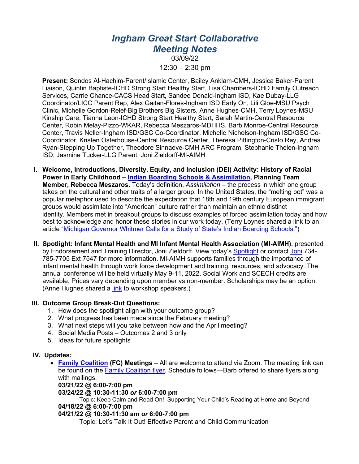# *Ingham Great Start Collaborative Meeting Notes*

03/09/22  $12:30 - 2:30$  pm

**Present:** Sondos Al-Hachim-Parent/Islamic Center, Bailey Anklam-CMH, Jessica Baker-Parent Liaison, Quintin Baptiste-ICHD Strong Start Healthy Start, Lisa Chambers-ICHD Family Outreach Services, Carrie Chance-CACS Head Start, Sandee Donald-Ingham ISD, Kae Dubay-LLG Coordinator/LICC Parent Rep, Alex Gaitan-Flores-Ingham ISD Early On, Lili Gloe-MSU Psych Clinic, Michelle Gordon-Relef-Big Brothers Big Sisters, Anne Hughes-CMH, Terry Loynes-MSU Kinship Care, Tianna Leon-ICHD Strong Start Healthy Start, Sarah Martin-Central Resource Center, Robin Melay-Pizzo-WKAR, Rebecca Meszaros-MDHHS, Barb Monroe-Central Resource Center, Travis Neller-Ingham ISD/GSC Co-Coordinator, Michelle Nicholson-Ingham ISD/GSC Co-Coordinator, Kristen Osterhouse-Central Resource Center, Theresa Pittington-Cristo Rey, Andrea Ryan-Stepping Up Together, Theodore Sinnaeve-CMH ARC Program, Stephanie Thelen-Ingham ISD, Jasmine Tucker-LLG Parent, Joni Zieldorff-MI-AIMH

- **I. Welcome, Introductions, Diversity, Equity, and Inclusion (DEI) Activity: History of Racial Power in Early Childhood – Indian Boarding Schools & Assimilation, Planning Team Member, Rebecca Meszaros.** Today's definition, *Assimilation –* the process in which one group takes on the cultural and other traits of a larger group. In the United States, the "melting pot" was a popular metaphor used to describe the expectation that 18th and 19th century European immigrant groups would assimilate into "American" culture rather than maintain an ethnic distinct identity. Members met in breakout groups to discuss examples of forced assimilation today and how best to acknowledge and honor these stories in our work today. (Terry Loynes shared a link to an article "Michigan Governor Whitmer Calls for a Study of State's Indian Boarding Schools.")
- **II. Spotlight: Infant Mental Health and MI Infant Mental Health Association (MI-AIMH)**, presented by Endorsement and Training Director, Joni Zieldorff. View today's Spotlight or contact Joni 734-785-7705 Ext 7547 for more information. MI-AIMH supports families through the importance of infant mental health through work force development and training, resources, and advocacy. The annual conference will be held virtually May 9-11, 2022. Social Work and SCECH credits are available. Prices vary depending upon member vs non-member. Scholarships may be an option. (Anne Hughes shared a link to workshop speakers.)

# **III. Outcome Group Break-Out Questions:**

- 1. How does the spotlight align with your outcome group?
- 2. What progress has been made since the February meeting?
- 3. What next steps will you take between now and the April meeting?
- 4. Social Media Posts Outcomes 2 and 3 only
- 5. Ideas for future spotlights

# **IV. Updates:**

• **Family Coalition (FC) Meetings** – All are welcome to attend via Zoom. The meeting link can be found on the Family Coalition flyer. Schedule follows—Barb offered to share flyers along with mailings.

**03/21/22 @ 6:00-7:00 pm**

#### **03/24/22 @ 10:30-11:30** *or* **6:00-7:00 pm**

Topic: Keep Calm and Read On! Supporting Your Child's Reading at Home and Beyond **04/18/22 @ 6:00-7:00 pm**

#### **04/21/22 @ 10:30-11:30 am** *or* **6:00-7:00 pm**

Topic: Let's Talk It Out! Effective Parent and Child Communication